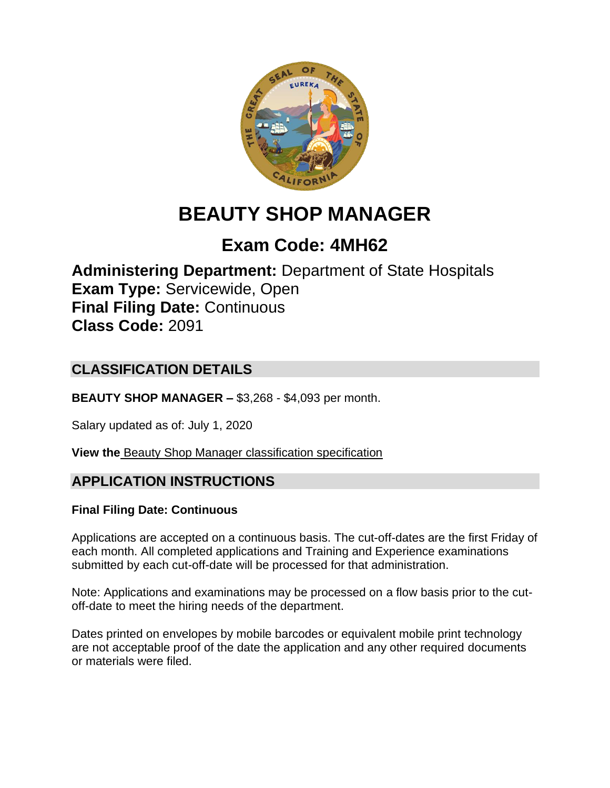

# **BEAUTY SHOP MANAGER**

## **Exam Code: 4MH62**

**Administering Department:** Department of State Hospitals **Exam Type:** Servicewide, Open **Final Filing Date:** Continuous **Class Code:** 2091

## **CLASSIFICATION DETAILS**

**BEAUTY SHOP MANAGER –** \$3,268 - \$4,093 per month.

Salary updated as of: July 1, 2020

**View the** [Beauty Shop Manager classification specification](https://www.calhr.ca.gov/state-hr-professionals/pages/2091.aspx)

## **APPLICATION INSTRUCTIONS**

#### **Final Filing Date: Continuous**

Applications are accepted on a continuous basis. The cut-off-dates are the first Friday of each month. All completed applications and Training and Experience examinations submitted by each cut-off-date will be processed for that administration.

Note: Applications and examinations may be processed on a flow basis prior to the cutoff-date to meet the hiring needs of the department.

Dates printed on envelopes by mobile barcodes or equivalent mobile print technology are not acceptable proof of the date the application and any other required documents or materials were filed.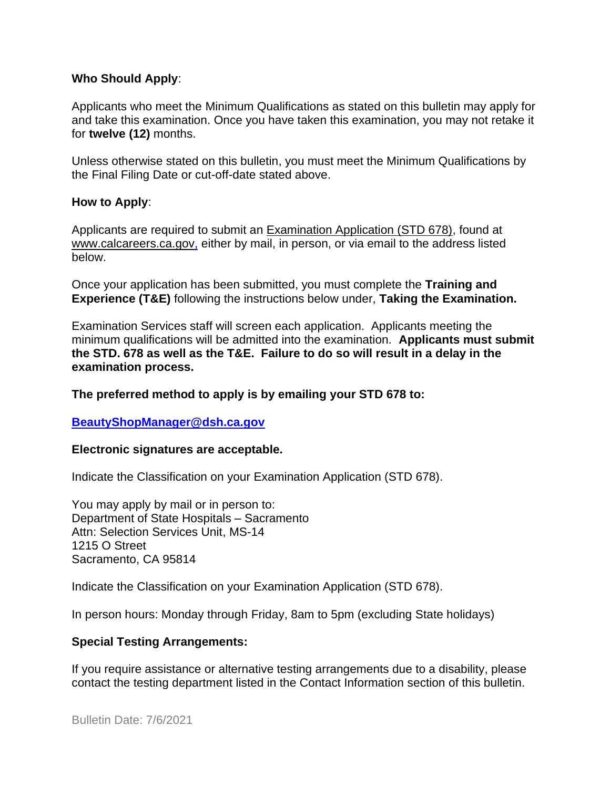#### **Who Should Apply**:

Applicants who meet the Minimum Qualifications as stated on this bulletin may apply for and take this examination. Once you have taken this examination, you may not retake it for **twelve (12)** months.

Unless otherwise stated on this bulletin, you must meet the Minimum Qualifications by the Final Filing Date or cut-off-date stated above.

#### **How to Apply**:

Applicants are required to submit an [Examination Application \(STD 678\),](https://jobs.ca.gov/pdf/std678.pdf) found at [www.calcareers.ca.gov,](http://www.calcareers.ca.gov/) either by mail, in person, or via email to the address listed below.

Once your application has been submitted, you must complete the **Training and Experience (T&E)** following the instructions below under, **Taking the Examination.**

Examination Services staff will screen each application. Applicants meeting the minimum qualifications will be admitted into the examination. **Applicants must submit the STD. 678 as well as the T&E. Failure to do so will result in a delay in the examination process.**

#### **The preferred method to apply is by emailing your STD 678 to:**

#### **[BeautyShopManager@dsh.ca.gov](mailto:BeautyShopManager@dsh.ca.gov)**

#### **Electronic signatures are acceptable.**

Indicate the Classification on your Examination Application (STD 678).

You may apply by mail or in person to: Department of State Hospitals – Sacramento Attn: Selection Services Unit, MS-14 1215 O Street Sacramento, CA 95814

Indicate the Classification on your Examination Application (STD 678).

In person hours: Monday through Friday, 8am to 5pm (excluding State holidays)

#### **Special Testing Arrangements:**

If you require assistance or alternative testing arrangements due to a disability, please contact the testing department listed in the Contact Information section of this bulletin.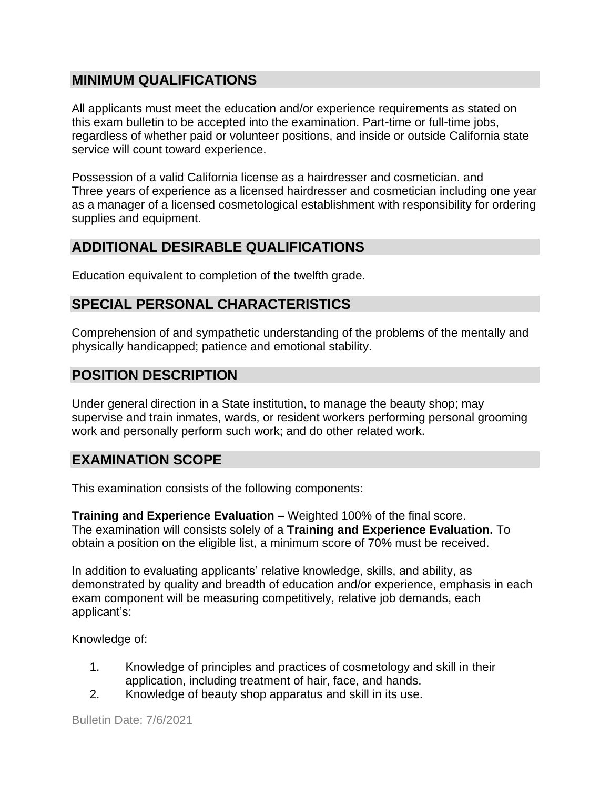#### **MINIMUM QUALIFICATIONS**

All applicants must meet the education and/or experience requirements as stated on this exam bulletin to be accepted into the examination. Part-time or full-time jobs, regardless of whether paid or volunteer positions, and inside or outside California state service will count toward experience.

Possession of a valid California license as a hairdresser and cosmetician. and Three years of experience as a licensed hairdresser and cosmetician including one year as a manager of a licensed cosmetological establishment with responsibility for ordering supplies and equipment.

## **ADDITIONAL DESIRABLE QUALIFICATIONS**

Education equivalent to completion of the twelfth grade.

## **SPECIAL PERSONAL CHARACTERISTICS**

Comprehension of and sympathetic understanding of the problems of the mentally and physically handicapped; patience and emotional stability.

## **POSITION DESCRIPTION**

Under general direction in a State institution, to manage the beauty shop; may supervise and train inmates, wards, or resident workers performing personal grooming work and personally perform such work; and do other related work.

## **EXAMINATION SCOPE**

This examination consists of the following components:

**Training and Experience Evaluation –** Weighted 100% of the final score. The examination will consists solely of a **Training and Experience Evaluation.** To obtain a position on the eligible list, a minimum score of 70% must be received.

In addition to evaluating applicants' relative knowledge, skills, and ability, as demonstrated by quality and breadth of education and/or experience, emphasis in each exam component will be measuring competitively, relative job demands, each applicant's:

Knowledge of:

- 1. Knowledge of principles and practices of cosmetology and skill in their application, including treatment of hair, face, and hands.
- 2. Knowledge of beauty shop apparatus and skill in its use.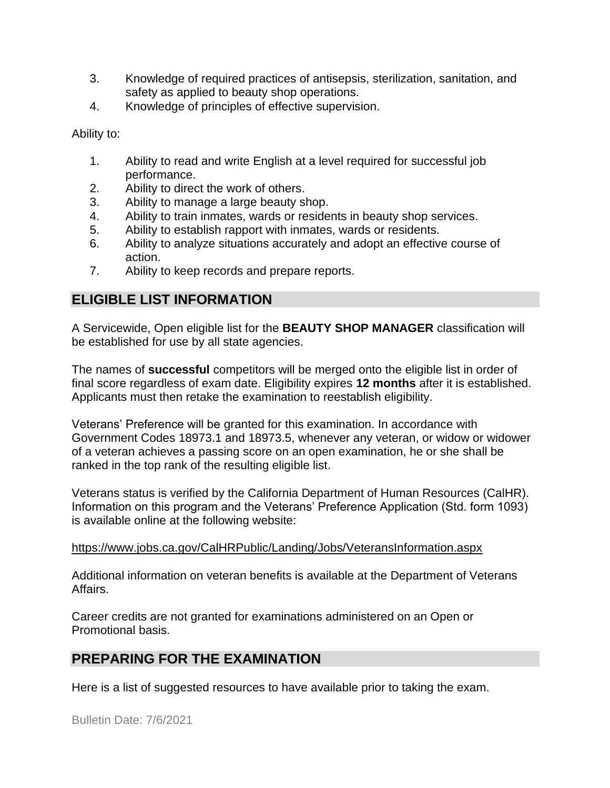- 3. Knowledge of required practices of antisepsis, sterilization, sanitation, and safety as applied to beauty shop operations.
- 4. Knowledge of principles of effective supervision.

Ability to:

- 1. Ability to read and write English at a level required for successful job performance.
- 2. Ability to direct the work of others.
- 3. Ability to manage a large beauty shop.
- 4. Ability to train inmates, wards or residents in beauty shop services.
- 5. Ability to establish rapport with inmates, wards or residents.
- 6. Ability to analyze situations accurately and adopt an effective course of action.
- 7. Ability to keep records and prepare reports.

## **ELIGIBLE LIST INFORMATION**

A Servicewide, Open eligible list for the **BEAUTY SHOP MANAGER** classification will be established for use by all state agencies.

The names of **successful** competitors will be merged onto the eligible list in order of final score regardless of exam date. Eligibility expires **12 months** after it is established. Applicants must then retake the examination to reestablish eligibility.

Veterans' Preference will be granted for this examination. In accordance with Government Codes 18973.1 and 18973.5, whenever any veteran, or widow or widower of a veteran achieves a passing score on an open examination, he or she shall be ranked in the top rank of the resulting eligible list.

Veterans status is verified by the California Department of Human Resources (CalHR). Information on this program and the Veterans' Preference Application (Std. form 1093) is available online at the following website:

#### <https://www.jobs.ca.gov/CalHRPublic/Landing/Jobs/VeteransInformation.aspx>

Additional information on veteran benefits is available at the Department of Veterans Affairs.

Career credits are not granted for examinations administered on an Open or Promotional basis.

## **PREPARING FOR THE EXAMINATION**

Here is a list of suggested resources to have available prior to taking the exam.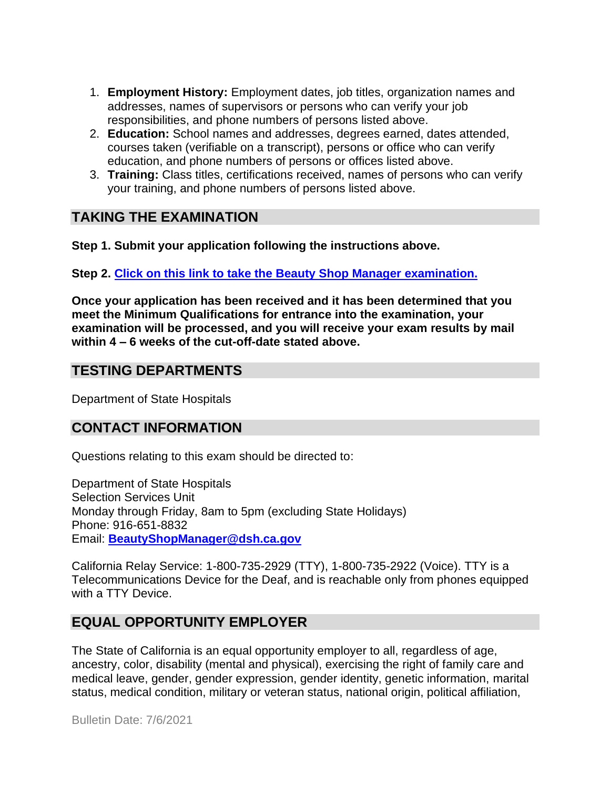- 1. **Employment History:** Employment dates, job titles, organization names and addresses, names of supervisors or persons who can verify your job responsibilities, and phone numbers of persons listed above.
- 2. **Education:** School names and addresses, degrees earned, dates attended, courses taken (verifiable on a transcript), persons or office who can verify education, and phone numbers of persons or offices listed above.
- 3. **Training:** Class titles, certifications received, names of persons who can verify your training, and phone numbers of persons listed above.

## **TAKING THE EXAMINATION**

**Step 1. Submit your application following the instructions above.**

**Step 2. [Click on this link to take the Beauty Shop Manager](https://www.surveymonkey.com/r/YPXPFC8) examination.**

**Once your application has been received and it has been determined that you meet the Minimum Qualifications for entrance into the examination, your examination will be processed, and you will receive your exam results by mail within 4 – 6 weeks of the cut-off-date stated above.**

#### **TESTING DEPARTMENTS**

Department of State Hospitals

#### **CONTACT INFORMATION**

Questions relating to this exam should be directed to:

Department of State Hospitals Selection Services Unit Monday through Friday, 8am to 5pm (excluding State Holidays) Phone: 916-651-8832 Email: **[BeautyShopManager@dsh.ca.gov](mailto:BeautyShopManager@dsh.ca.gov)**

California Relay Service: 1-800-735-2929 (TTY), 1-800-735-2922 (Voice). TTY is a Telecommunications Device for the Deaf, and is reachable only from phones equipped with a TTY Device.

## **EQUAL OPPORTUNITY EMPLOYER**

The State of California is an equal opportunity employer to all, regardless of age, ancestry, color, disability (mental and physical), exercising the right of family care and medical leave, gender, gender expression, gender identity, genetic information, marital status, medical condition, military or veteran status, national origin, political affiliation,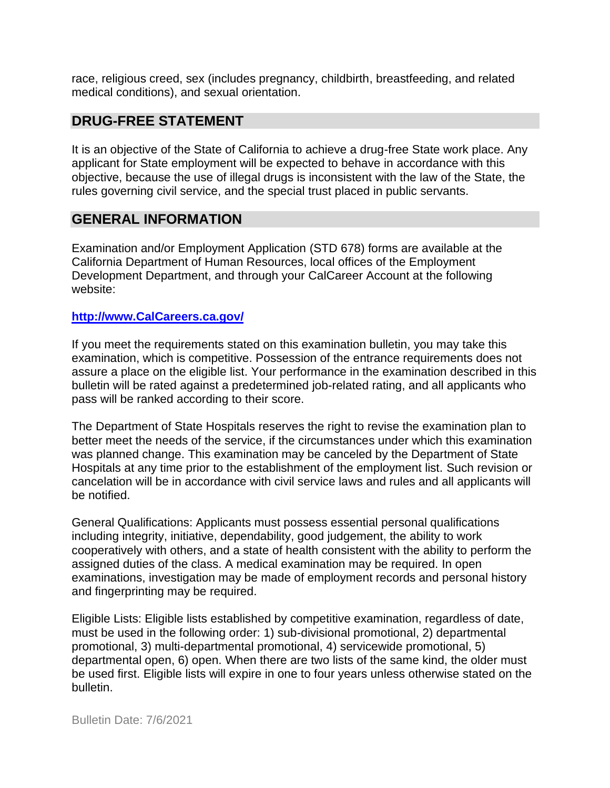race, religious creed, sex (includes pregnancy, childbirth, breastfeeding, and related medical conditions), and sexual orientation.

#### **DRUG-FREE STATEMENT**

It is an objective of the State of California to achieve a drug-free State work place. Any applicant for State employment will be expected to behave in accordance with this objective, because the use of illegal drugs is inconsistent with the law of the State, the rules governing civil service, and the special trust placed in public servants.

#### **GENERAL INFORMATION**

Examination and/or Employment Application (STD 678) forms are available at the California Department of Human Resources, local offices of the Employment Development Department, and through your CalCareer Account at the following website:

#### **http://www.CalCareers.ca.gov/**

If you meet the requirements stated on this examination bulletin, you may take this examination, which is competitive. Possession of the entrance requirements does not assure a place on the eligible list. Your performance in the examination described in this bulletin will be rated against a predetermined job-related rating, and all applicants who pass will be ranked according to their score.

The Department of State Hospitals reserves the right to revise the examination plan to better meet the needs of the service, if the circumstances under which this examination was planned change. This examination may be canceled by the Department of State Hospitals at any time prior to the establishment of the employment list. Such revision or cancelation will be in accordance with civil service laws and rules and all applicants will be notified.

General Qualifications: Applicants must possess essential personal qualifications including integrity, initiative, dependability, good judgement, the ability to work cooperatively with others, and a state of health consistent with the ability to perform the assigned duties of the class. A medical examination may be required. In open examinations, investigation may be made of employment records and personal history and fingerprinting may be required.

Eligible Lists: Eligible lists established by competitive examination, regardless of date, must be used in the following order: 1) sub-divisional promotional, 2) departmental promotional, 3) multi-departmental promotional, 4) servicewide promotional, 5) departmental open, 6) open. When there are two lists of the same kind, the older must be used first. Eligible lists will expire in one to four years unless otherwise stated on the bulletin.